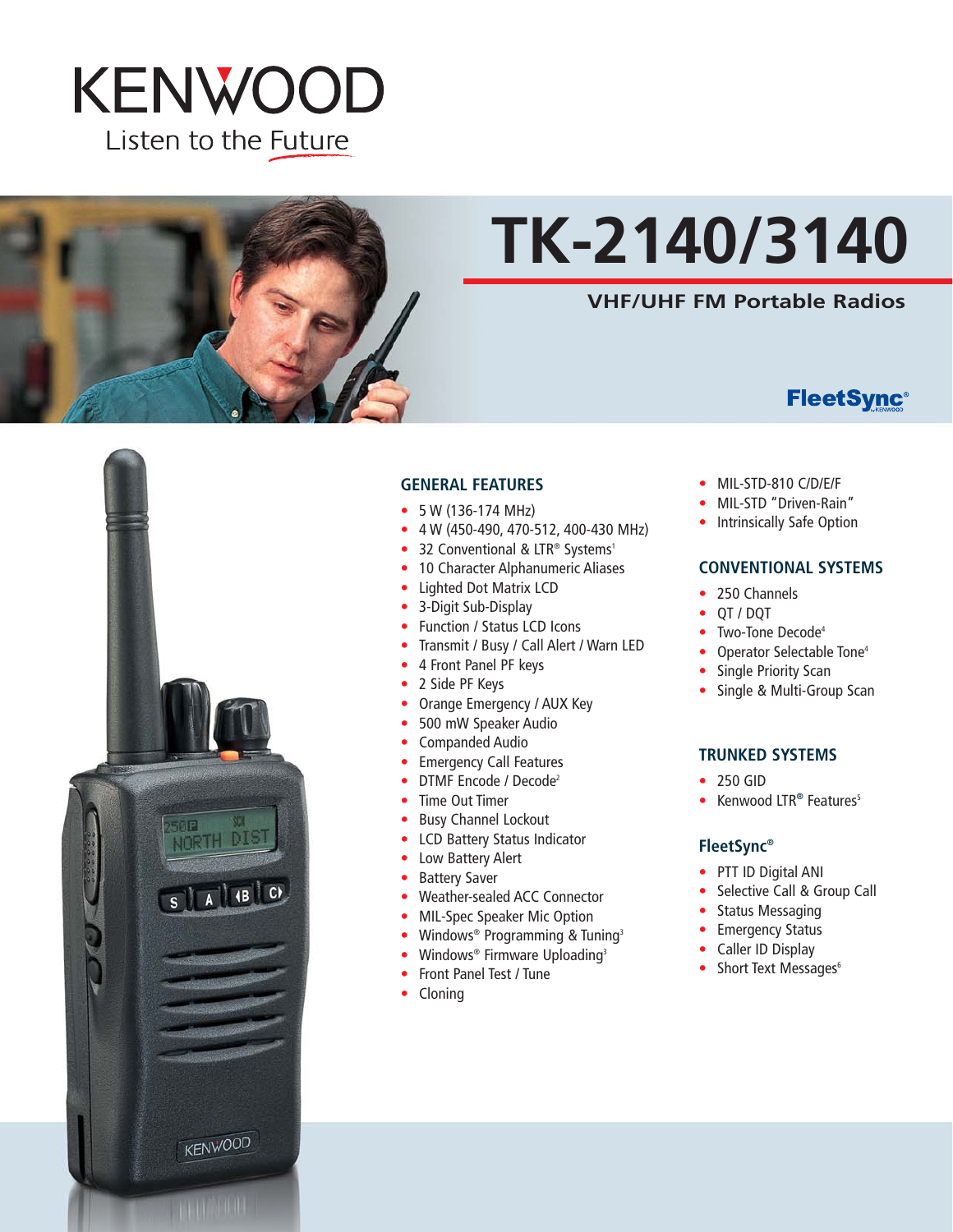



# **TK-2140/3140**

# **VHF/UHF FM Portable Radios**

# **FleetSync®**



#### **GENERAL FEATURES**

- 5 W (136-174 MHz)
- 4 W (450-490, 470-512, 400-430 MHz)
- 32 Conventional & LTR® Systems<sup>1</sup>
- 10 Character Alphanumeric Aliases
- Lighted Dot Matrix LCD
- 3-Digit Sub-Display
- Function / Status LCD Icons
- Transmit / Busy / Call Alert / Warn LED
- 4 Front Panel PF keys
- 2 Side PF Keys
- Orange Emergency / AUX Key
- 500 mW Speaker Audio
- Companded Audio
- Emergency Call Features
- DTMF Encode / Decode<sup>2</sup>
- Time Out Timer
- Busy Channel Lockout
- LCD Battery Status Indicator
- Low Battery Alert
- Battery Saver
- Weather-sealed ACC Connector
- MIL-Spec Speaker Mic Option
- Windows® Programming & Tuning3
- Windows® Firmware Uploading3
- Front Panel Test / Tune
- Cloning
- MIL-STD-810 C/D/E/F
- MIL-STD "Driven-Rain"
- Intrinsically Safe Option

### **CONVENTIONAL SYSTEMS**

- 250 Channels
- QT / DQT
- Two-Tone Decode<sup>4</sup>
- Operator Selectable Tone<sup>4</sup>
- Single Priority Scan
- Single & Multi-Group Scan

#### **TRUNKED SYSTEMS**

- 250 GID
- Kenwood LTR® Features<sup>5</sup>

#### **FleetSync®**

- PTT ID Digital ANI
- Selective Call & Group Call
- Status Messaging
- Emergency Status
- Caller ID Display
- Short Text Messages $<sup>6</sup>$ </sup>